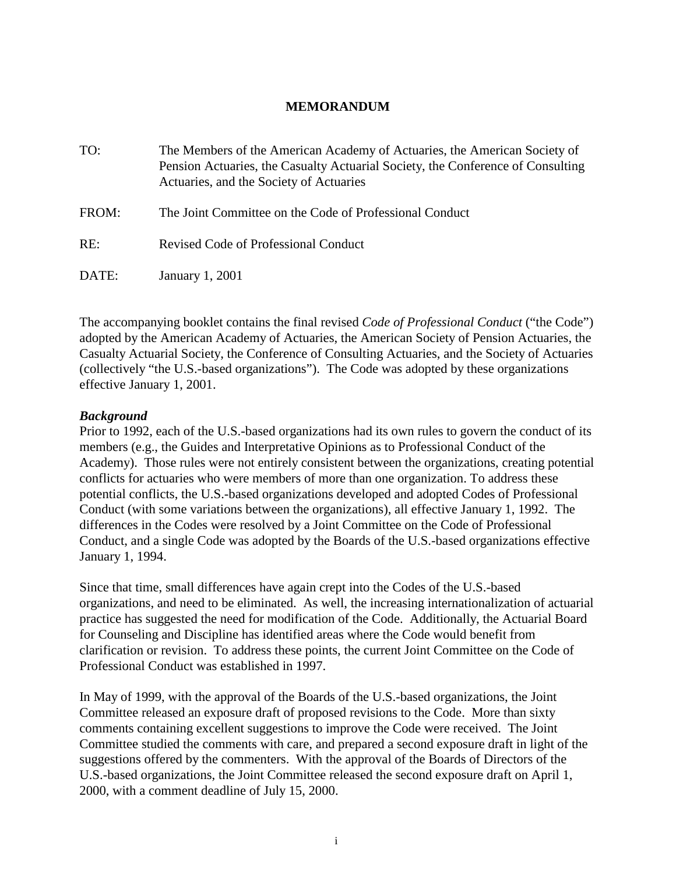## **MEMORANDUM**

| TO:   | The Members of the American Academy of Actuaries, the American Society of<br>Pension Actuaries, the Casualty Actuarial Society, the Conference of Consulting<br>Actuaries, and the Society of Actuaries |
|-------|---------------------------------------------------------------------------------------------------------------------------------------------------------------------------------------------------------|
| FROM: | The Joint Committee on the Code of Professional Conduct                                                                                                                                                 |
| RE:   | Revised Code of Professional Conduct                                                                                                                                                                    |
| DATE: | <b>January 1, 2001</b>                                                                                                                                                                                  |

The accompanying booklet contains the final revised *Code of Professional Conduct* ("the Code") adopted by the American Academy of Actuaries, the American Society of Pension Actuaries, the Casualty Actuarial Society, the Conference of Consulting Actuaries, and the Society of Actuaries (collectively "the U.S.-based organizations"). The Code was adopted by these organizations effective January 1, 2001.

### *Background*

Prior to 1992, each of the U.S.-based organizations had its own rules to govern the conduct of its members (e.g., the Guides and Interpretative Opinions as to Professional Conduct of the Academy). Those rules were not entirely consistent between the organizations, creating potential conflicts for actuaries who were members of more than one organization. To address these potential conflicts, the U.S.-based organizations developed and adopted Codes of Professional Conduct (with some variations between the organizations), all effective January 1, 1992. The differences in the Codes were resolved by a Joint Committee on the Code of Professional Conduct, and a single Code was adopted by the Boards of the U.S.-based organizations effective January 1, 1994.

Since that time, small differences have again crept into the Codes of the U.S.-based organizations, and need to be eliminated. As well, the increasing internationalization of actuarial practice has suggested the need for modification of the Code. Additionally, the Actuarial Board for Counseling and Discipline has identified areas where the Code would benefit from clarification or revision. To address these points, the current Joint Committee on the Code of Professional Conduct was established in 1997.

In May of 1999, with the approval of the Boards of the U.S.-based organizations, the Joint Committee released an exposure draft of proposed revisions to the Code. More than sixty comments containing excellent suggestions to improve the Code were received. The Joint Committee studied the comments with care, and prepared a second exposure draft in light of the suggestions offered by the commenters. With the approval of the Boards of Directors of the U.S.-based organizations, the Joint Committee released the second exposure draft on April 1, 2000, with a comment deadline of July 15, 2000.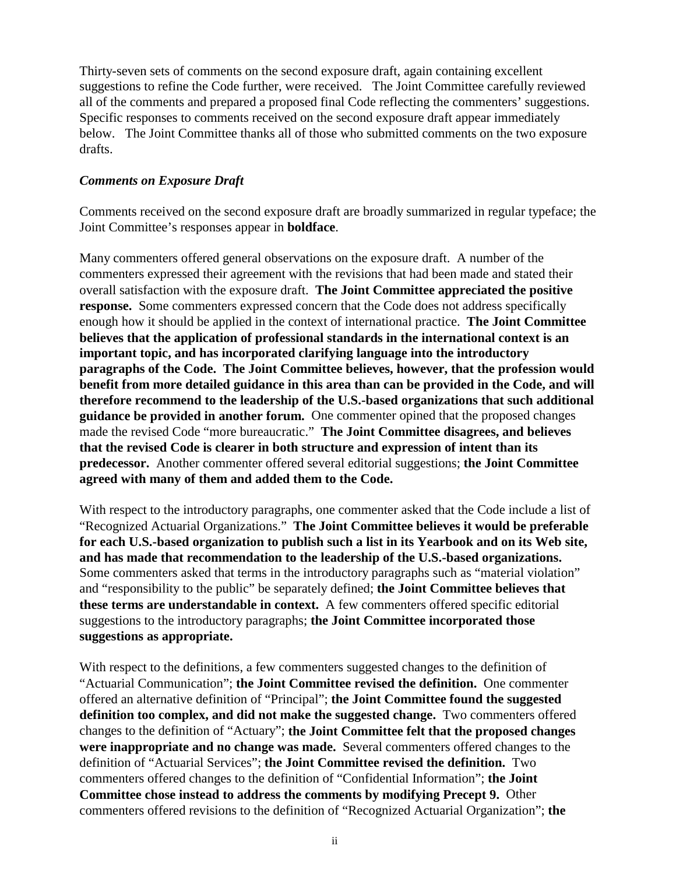Thirty-seven sets of comments on the second exposure draft, again containing excellent suggestions to refine the Code further, were received. The Joint Committee carefully reviewed all of the comments and prepared a proposed final Code reflecting the commenters' suggestions. Specific responses to comments received on the second exposure draft appear immediately below. The Joint Committee thanks all of those who submitted comments on the two exposure drafts.

# *Comments on Exposure Draft*

Comments received on the second exposure draft are broadly summarized in regular typeface; the Joint Committee's responses appear in **boldface**.

Many commenters offered general observations on the exposure draft. A number of the commenters expressed their agreement with the revisions that had been made and stated their overall satisfaction with the exposure draft. **The Joint Committee appreciated the positive response.** Some commenters expressed concern that the Code does not address specifically enough how it should be applied in the context of international practice. **The Joint Committee believes that the application of professional standards in the international context is an important topic, and has incorporated clarifying language into the introductory paragraphs of the Code. The Joint Committee believes, however, that the profession would benefit from more detailed guidance in this area than can be provided in the Code, and will therefore recommend to the leadership of the U.S.-based organizations that such additional guidance be provided in another forum.** One commenter opined that the proposed changes made the revised Code "more bureaucratic." **The Joint Committee disagrees, and believes that the revised Code is clearer in both structure and expression of intent than its predecessor.** Another commenter offered several editorial suggestions; **the Joint Committee agreed with many of them and added them to the Code.**

With respect to the introductory paragraphs, one commenter asked that the Code include a list of "Recognized Actuarial Organizations." **The Joint Committee believes it would be preferable for each U.S.-based organization to publish such a list in its Yearbook and on its Web site, and has made that recommendation to the leadership of the U.S.-based organizations.** Some commenters asked that terms in the introductory paragraphs such as "material violation" and "responsibility to the public" be separately defined; **the Joint Committee believes that these terms are understandable in context.** A few commenters offered specific editorial suggestions to the introductory paragraphs; **the Joint Committee incorporated those suggestions as appropriate.**

With respect to the definitions, a few commenters suggested changes to the definition of "Actuarial Communication"; **the Joint Committee revised the definition.** One commenter offered an alternative definition of "Principal"; **the Joint Committee found the suggested definition too complex, and did not make the suggested change.** Two commenters offered changes to the definition of "Actuary"; **the Joint Committee felt that the proposed changes were inappropriate and no change was made.** Several commenters offered changes to the definition of "Actuarial Services"; **the Joint Committee revised the definition.** Two commenters offered changes to the definition of "Confidential Information"; **the Joint Committee chose instead to address the comments by modifying Precept 9.** Other commenters offered revisions to the definition of "Recognized Actuarial Organization"; **the**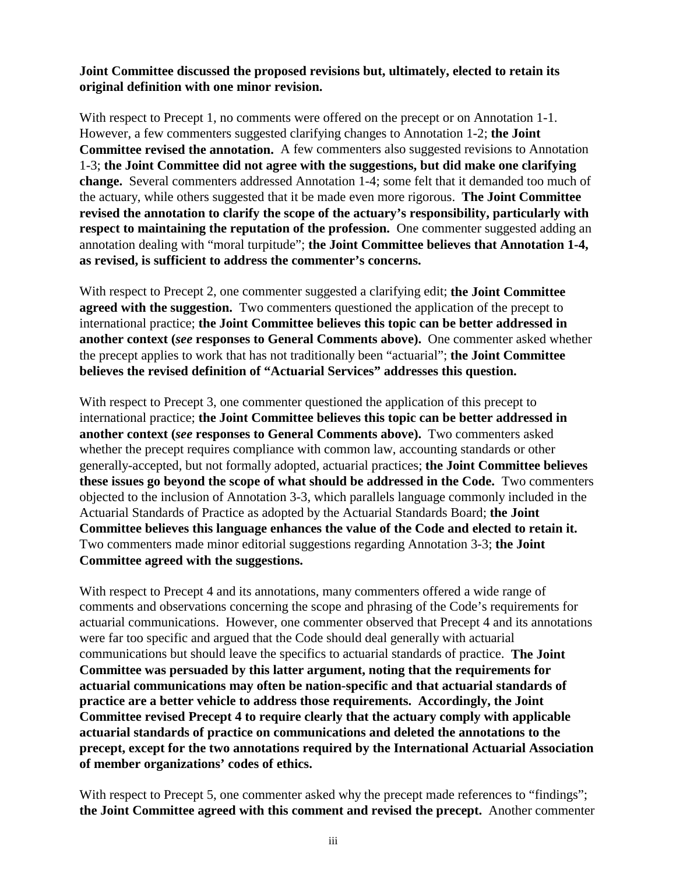## **Joint Committee discussed the proposed revisions but, ultimately, elected to retain its original definition with one minor revision.**

With respect to Precept 1, no comments were offered on the precept or on Annotation 1-1. However, a few commenters suggested clarifying changes to Annotation 1-2; **the Joint Committee revised the annotation.** A few commenters also suggested revisions to Annotation 1-3; **the Joint Committee did not agree with the suggestions, but did make one clarifying change.** Several commenters addressed Annotation 1-4; some felt that it demanded too much of the actuary, while others suggested that it be made even more rigorous. **The Joint Committee revised the annotation to clarify the scope of the actuary's responsibility, particularly with respect to maintaining the reputation of the profession.** One commenter suggested adding an annotation dealing with "moral turpitude"; **the Joint Committee believes that Annotation 1-4, as revised, is sufficient to address the commenter's concerns.**

With respect to Precept 2, one commenter suggested a clarifying edit; **the Joint Committee agreed with the suggestion.** Two commenters questioned the application of the precept to international practice; **the Joint Committee believes this topic can be better addressed in another context (***see* **responses to General Comments above).** One commenter asked whether the precept applies to work that has not traditionally been "actuarial"; **the Joint Committee believes the revised definition of "Actuarial Services" addresses this question.**

With respect to Precept 3, one commenter questioned the application of this precept to international practice; **the Joint Committee believes this topic can be better addressed in another context (***see* **responses to General Comments above).** Two commenters asked whether the precept requires compliance with common law, accounting standards or other generally-accepted, but not formally adopted, actuarial practices; **the Joint Committee believes these issues go beyond the scope of what should be addressed in the Code.** Two commenters objected to the inclusion of Annotation 3-3, which parallels language commonly included in the Actuarial Standards of Practice as adopted by the Actuarial Standards Board; **the Joint Committee believes this language enhances the value of the Code and elected to retain it.** Two commenters made minor editorial suggestions regarding Annotation 3-3; **the Joint Committee agreed with the suggestions.**

With respect to Precept 4 and its annotations, many commenters offered a wide range of comments and observations concerning the scope and phrasing of the Code's requirements for actuarial communications. However, one commenter observed that Precept 4 and its annotations were far too specific and argued that the Code should deal generally with actuarial communications but should leave the specifics to actuarial standards of practice. **The Joint Committee was persuaded by this latter argument, noting that the requirements for actuarial communications may often be nation-specific and that actuarial standards of practice are a better vehicle to address those requirements. Accordingly, the Joint Committee revised Precept 4 to require clearly that the actuary comply with applicable actuarial standards of practice on communications and deleted the annotations to the precept, except for the two annotations required by the International Actuarial Association of member organizations' codes of ethics.**

With respect to Precept 5, one commenter asked why the precept made references to "findings"; **the Joint Committee agreed with this comment and revised the precept.** Another commenter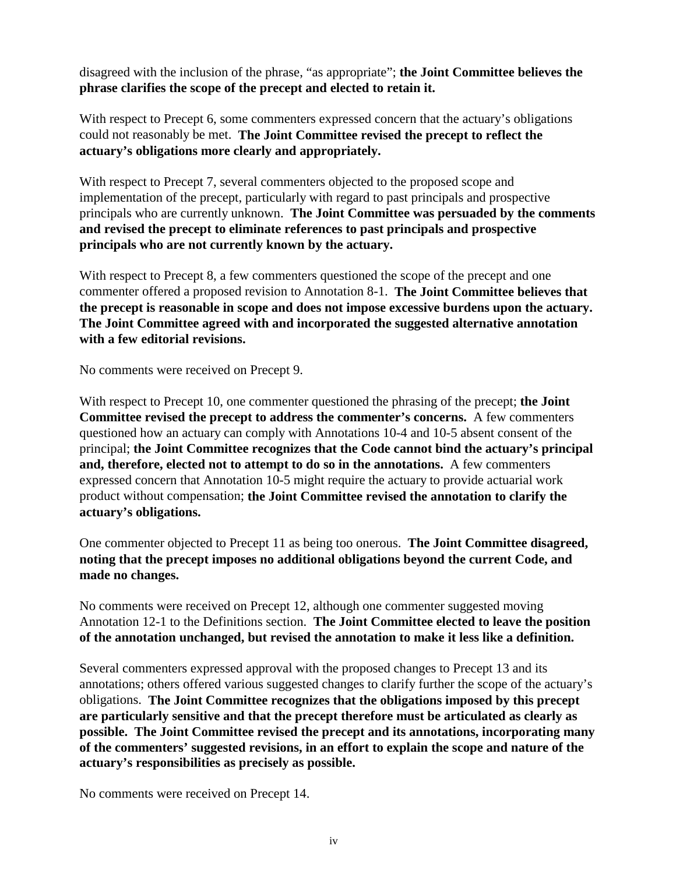disagreed with the inclusion of the phrase, "as appropriate"; **the Joint Committee believes the phrase clarifies the scope of the precept and elected to retain it.**

With respect to Precept 6, some commenters expressed concern that the actuary's obligations could not reasonably be met. **The Joint Committee revised the precept to reflect the actuary's obligations more clearly and appropriately.**

With respect to Precept 7, several commenters objected to the proposed scope and implementation of the precept, particularly with regard to past principals and prospective principals who are currently unknown. **The Joint Committee was persuaded by the comments and revised the precept to eliminate references to past principals and prospective principals who are not currently known by the actuary.**

With respect to Precept 8, a few commenters questioned the scope of the precept and one commenter offered a proposed revision to Annotation 8-1. **The Joint Committee believes that the precept is reasonable in scope and does not impose excessive burdens upon the actuary. The Joint Committee agreed with and incorporated the suggested alternative annotation with a few editorial revisions.**

No comments were received on Precept 9.

With respect to Precept 10, one commenter questioned the phrasing of the precept; **the Joint Committee revised the precept to address the commenter's concerns.** A few commenters questioned how an actuary can comply with Annotations 10-4 and 10-5 absent consent of the principal; **the Joint Committee recognizes that the Code cannot bind the actuary's principal and, therefore, elected not to attempt to do so in the annotations.** A few commenters expressed concern that Annotation 10-5 might require the actuary to provide actuarial work product without compensation; **the Joint Committee revised the annotation to clarify the actuary's obligations.**

One commenter objected to Precept 11 as being too onerous. **The Joint Committee disagreed, noting that the precept imposes no additional obligations beyond the current Code, and made no changes.**

No comments were received on Precept 12, although one commenter suggested moving Annotation 12-1 to the Definitions section. **The Joint Committee elected to leave the position of the annotation unchanged, but revised the annotation to make it less like a definition.**

Several commenters expressed approval with the proposed changes to Precept 13 and its annotations; others offered various suggested changes to clarify further the scope of the actuary's obligations. **The Joint Committee recognizes that the obligations imposed by this precept are particularly sensitive and that the precept therefore must be articulated as clearly as possible. The Joint Committee revised the precept and its annotations, incorporating many of the commenters' suggested revisions, in an effort to explain the scope and nature of the actuary's responsibilities as precisely as possible.**

No comments were received on Precept 14.